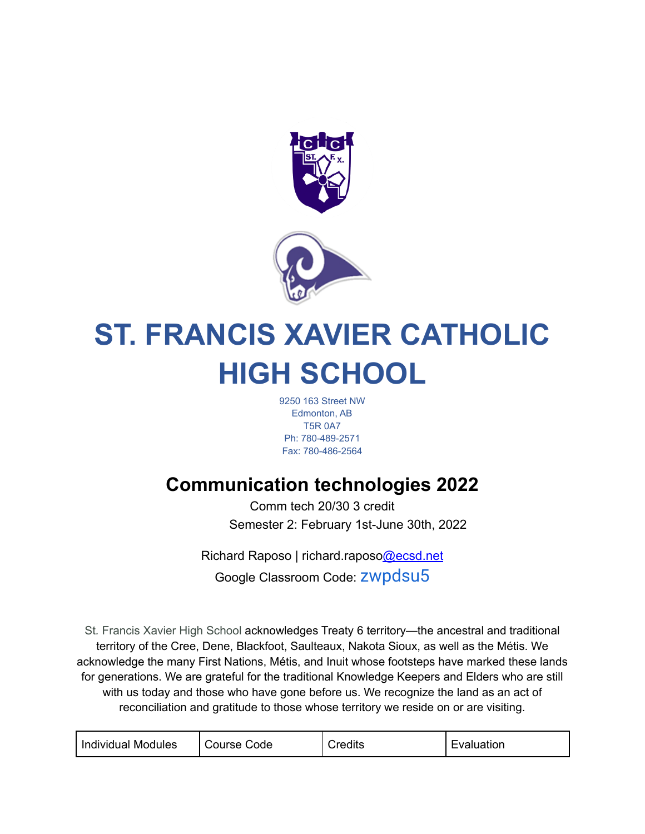

# **ST. FRANCIS XAVIER CATHOLIC HIGH SCHOOL**

9250 163 Street NW Edmonton, AB T5R 0A7 Ph: 780-489-2571 Fax: 780-486-2564

# **Communication technologies 2022**

Comm tech 20/30 3 credit Semester 2: February 1st-June 30th, 2022

Richard Raposo | richard.raposo@ecsd.net Google Classroom Code: zwpdsu5

St*.* Francis Xavier High School acknowledges Treaty 6 territory—the ancestral and traditional territory of the Cree, Dene, Blackfoot, Saulteaux, Nakota Sioux, as well as the Métis. We acknowledge the many First Nations, Métis, and Inuit whose footsteps have marked these lands for generations. We are grateful for the traditional Knowledge Keepers and Elders who are still with us today and those who have gone before us. We recognize the land as an act of reconciliation and gratitude to those whose territory we reside on or are visiting.

|--|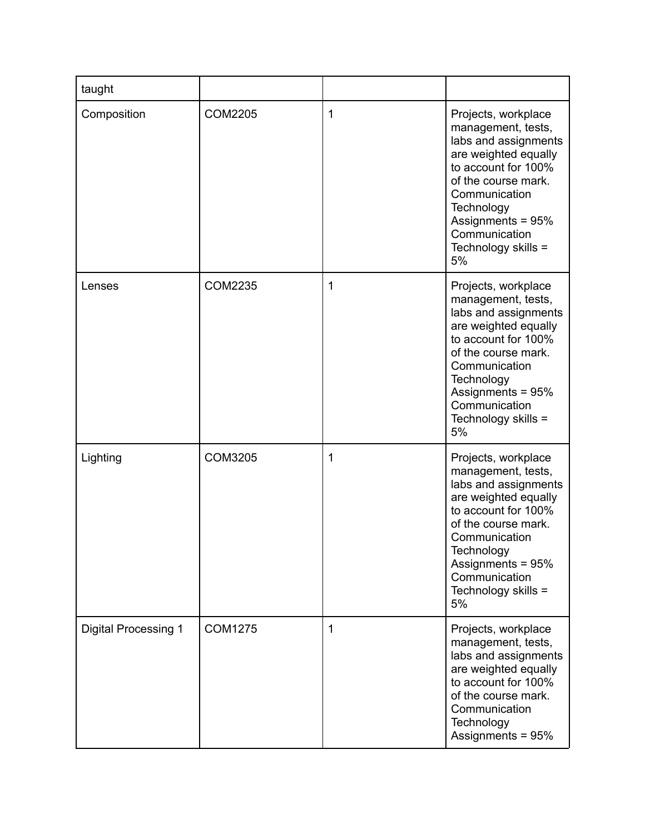| taught                      |                |   |                                                                                                                                                                                                                                           |
|-----------------------------|----------------|---|-------------------------------------------------------------------------------------------------------------------------------------------------------------------------------------------------------------------------------------------|
| Composition                 | <b>COM2205</b> | 1 | Projects, workplace<br>management, tests,<br>labs and assignments<br>are weighted equally<br>to account for 100%<br>of the course mark.<br>Communication<br>Technology<br>Assignments = 95%<br>Communication<br>Technology skills =<br>5% |
| Lenses                      | <b>COM2235</b> | 1 | Projects, workplace<br>management, tests,<br>labs and assignments<br>are weighted equally<br>to account for 100%<br>of the course mark.<br>Communication<br>Technology<br>Assignments = 95%<br>Communication<br>Technology skills =<br>5% |
| Lighting                    | <b>COM3205</b> | 1 | Projects, workplace<br>management, tests,<br>labs and assignments<br>are weighted equally<br>to account for 100%<br>of the course mark.<br>Communication<br>Technology<br>Assignments = 95%<br>Communication<br>Technology skills =<br>5% |
| <b>Digital Processing 1</b> | <b>COM1275</b> | 1 | Projects, workplace<br>management, tests,<br>labs and assignments<br>are weighted equally<br>to account for 100%<br>of the course mark.<br>Communication<br>Technology<br>Assignments = 95%                                               |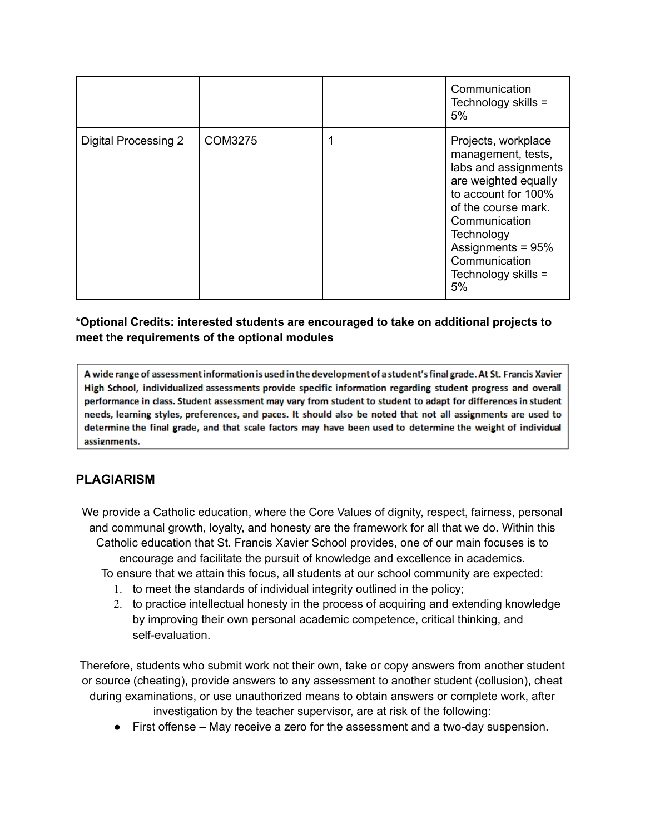|                      |         | Communication<br>Technology skills =<br>5%                                                                                                                                                                                                |
|----------------------|---------|-------------------------------------------------------------------------------------------------------------------------------------------------------------------------------------------------------------------------------------------|
| Digital Processing 2 | COM3275 | Projects, workplace<br>management, tests,<br>labs and assignments<br>are weighted equally<br>to account for 100%<br>of the course mark.<br>Communication<br>Technology<br>Assignments = 95%<br>Communication<br>Technology skills =<br>5% |

#### **\*Optional Credits: interested students are encouraged to take on additional projects to meet the requirements of the optional modules**

A wide range of assessment information is used in the development of a student's final grade. At St. Francis Xavier High School, individualized assessments provide specific information regarding student progress and overall performance in class. Student assessment may vary from student to student to adapt for differences in student needs, learning styles, preferences, and paces. It should also be noted that not all assignments are used to determine the final grade, and that scale factors may have been used to determine the weight of individual assignments.

# **PLAGIARISM**

We provide a Catholic education, where the Core Values of dignity, respect, fairness, personal and communal growth, loyalty, and honesty are the framework for all that we do. Within this Catholic education that St. Francis Xavier School provides, one of our main focuses is to encourage and facilitate the pursuit of knowledge and excellence in academics. To ensure that we attain this focus, all students at our school community are expected:

- 1. to meet the standards of individual integrity outlined in the policy;
- 2. to practice intellectual honesty in the process of acquiring and extending knowledge by improving their own personal academic competence, critical thinking, and self-evaluation.

Therefore, students who submit work not their own, take or copy answers from another student or source (cheating), provide answers to any assessment to another student (collusion), cheat during examinations, or use unauthorized means to obtain answers or complete work, after

- investigation by the teacher supervisor, are at risk of the following:
- First offense May receive a zero for the assessment and a two-day suspension.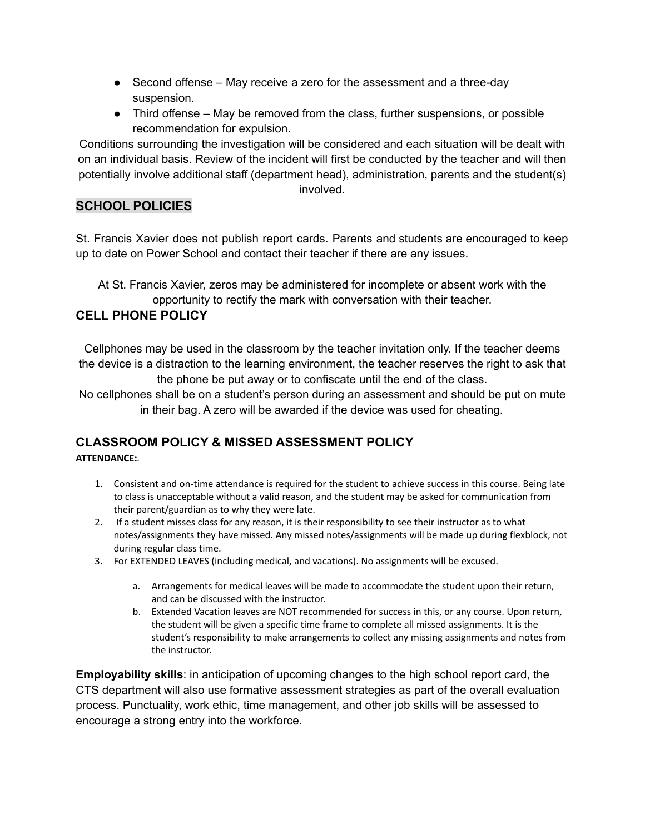- $\bullet$  Second offense May receive a zero for the assessment and a three-day suspension.
- Third offense May be removed from the class, further suspensions, or possible recommendation for expulsion.

Conditions surrounding the investigation will be considered and each situation will be dealt with on an individual basis. Review of the incident will first be conducted by the teacher and will then potentially involve additional staff (department head), administration, parents and the student(s)

involved.

# **SCHOOL POLICIES**

St. Francis Xavier does not publish report cards. Parents and students are encouraged to keep up to date on Power School and contact their teacher if there are any issues.

At St. Francis Xavier, zeros may be administered for incomplete or absent work with the opportunity to rectify the mark with conversation with their teacher.

# **CELL PHONE POLICY**

Cellphones may be used in the classroom by the teacher invitation only. If the teacher deems the device is a distraction to the learning environment, the teacher reserves the right to ask that the phone be put away or to confiscate until the end of the class.

No cellphones shall be on a student's person during an assessment and should be put on mute in their bag. A zero will be awarded if the device was used for cheating.

# **CLASSROOM POLICY & MISSED ASSESSMENT POLICY**

#### **ATTENDANCE:***.*

- 1. Consistent and on-time attendance is required for the student to achieve success in this course. Being late to class is unacceptable without a valid reason, and the student may be asked for communication from their parent/guardian as to why they were late.
- 2. If a student misses class for any reason, it is their responsibility to see their instructor as to what notes/assignments they have missed. Any missed notes/assignments will be made up during flexblock, not during regular class time.
- 3. For EXTENDED LEAVES (including medical, and vacations). No assignments will be excused.
	- a. Arrangements for medical leaves will be made to accommodate the student upon their return, and can be discussed with the instructor.
	- b. Extended Vacation leaves are NOT recommended for success in this, or any course. Upon return, the student will be given a specific time frame to complete all missed assignments. It is the student's responsibility to make arrangements to collect any missing assignments and notes from the instructor.

**Employability skills**: in anticipation of upcoming changes to the high school report card, the CTS department will also use formative assessment strategies as part of the overall evaluation process. Punctuality, work ethic, time management, and other job skills will be assessed to encourage a strong entry into the workforce.